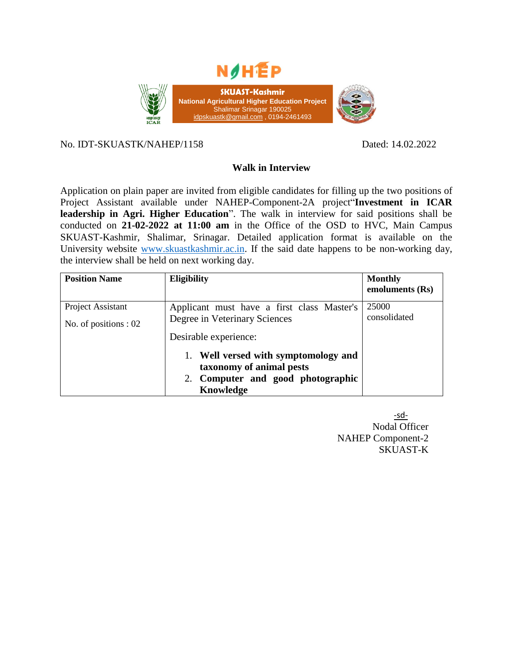

### No. IDT-SKUASTK/NAHEP/1158 Dated: 14.02.2022

# **Walk in Interview**

Application on plain paper are invited from eligible candidates for filling up the two positions of Project Assistant available under NAHEP-Component-2A project"**Investment in ICAR leadership in Agri. Higher Education**". The walk in interview for said positions shall be conducted on **21-02-2022 at 11:00 am** in the Office of the OSD to HVC, Main Campus SKUAST-Kashmir, Shalimar, Srinagar. Detailed application format is available on the University website [www.skuastkashmir.ac.in.](http://www.skuastkashmir.ac.in/) If the said date happens to be non-working day, the interview shall be held on next working day.

| <b>Position Name</b>                       | <b>Eligibility</b>                                                                                                 | <b>Monthly</b><br>emoluments (Rs) |
|--------------------------------------------|--------------------------------------------------------------------------------------------------------------------|-----------------------------------|
| Project Assistant<br>No. of positions : 02 | Applicant must have a first class Master's<br>Degree in Veterinary Sciences<br>Desirable experience:               | 25000<br>consolidated             |
|                                            | 1. Well versed with symptomology and<br>taxonomy of animal pests<br>2. Computer and good photographic<br>Knowledge |                                   |

-sd-Nodal Officer NAHEP Component-2 SKUAST-K